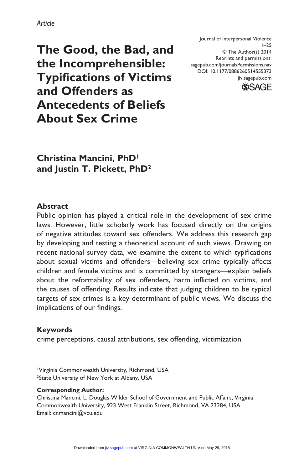**The Good, the Bad, and the Incomprehensible: Typifications of Victims and Offenders as Antecedents of Beliefs About Sex Crime**

Journal of Interpersonal Violence 1–25 © The Author(s) 2014 Reprints and permissions: sagepub.com/journalsPermissions.nav DOI: 10.1177/0886260514555373 jiv.sagepub.com



**Christina Mancini, PhD1 and Justin T. Pickett, PhD2**

#### **Abstract**

Public opinion has played a critical role in the development of sex crime laws. However, little scholarly work has focused directly on the origins of negative attitudes toward sex offenders. We address this research gap by developing and testing a theoretical account of such views. Drawing on recent national survey data, we examine the extent to which typifications about sexual victims and offenders—believing sex crime typically affects children and female victims and is committed by strangers—explain beliefs about the reformability of sex offenders, harm inflicted on victims, and the causes of offending. Results indicate that judging children to be typical targets of sex crimes is a key determinant of public views. We discuss the implications of our findings.

### **Keywords**

crime perceptions, causal attributions, sex offending, victimization

1Virginia Commonwealth University, Richmond, USA <sup>2</sup>State University of New York at Albany, USA

#### **Corresponding Author:**

Christina Mancini, L. Douglas Wilder School of Government and Public Affairs, Virginia Commonwealth University, 923 West Franklin Street, Richmond, VA 23284, USA. Email: [cnmancini@vcu.edu](mailto:cnmancini@vcu.edu)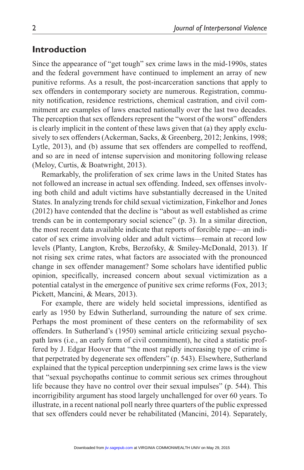# **Introduction**

Since the appearance of "get tough" sex crime laws in the mid-1990s, states and the federal government have continued to implement an array of new punitive reforms. As a result, the post-incarceration sanctions that apply to sex offenders in contemporary society are numerous. Registration, community notification, residence restrictions, chemical castration, and civil commitment are examples of laws enacted nationally over the last two decades. The perception that sex offenders represent the "worst of the worst" offenders is clearly implicit in the content of these laws given that (a) they apply exclusively to sex offenders (Ackerman, Sacks, & Greenberg, 2012; Jenkins, 1998; Lytle, 2013), and (b) assume that sex offenders are compelled to reoffend, and so are in need of intense supervision and monitoring following release (Meloy, Curtis, & Boatwright, 2013).

Remarkably, the proliferation of sex crime laws in the United States has not followed an increase in actual sex offending. Indeed, sex offenses involving both child and adult victims have substantially decreased in the United States. In analyzing trends for child sexual victimization, Finkelhor and Jones (2012) have contended that the decline is "about as well established as crime trends can be in contemporary social science" (p. 3). In a similar direction, the most recent data available indicate that reports of forcible rape—an indicator of sex crime involving older and adult victims—remain at record low levels (Planty, Langton, Krebs, Berzofsky, & Smiley-McDonald, 2013). If not rising sex crime rates, what factors are associated with the pronounced change in sex offender management? Some scholars have identified public opinion, specifically, increased concern about sexual victimization as a potential catalyst in the emergence of punitive sex crime reforms (Fox, 2013; Pickett, Mancini, & Mears, 2013).

For example, there are widely held societal impressions, identified as early as 1950 by Edwin Sutherland, surrounding the nature of sex crime. Perhaps the most prominent of these centers on the reformability of sex offenders. In Sutherland's (1950) seminal article criticizing sexual psychopath laws (i.e., an early form of civil commitment), he cited a statistic proffered by J. Edgar Hoover that "the most rapidly increasing type of crime is that perpetrated by degenerate sex offenders" (p. 543). Elsewhere, Sutherland explained that the typical perception underpinning sex crime laws is the view that "sexual psychopaths continue to commit serious sex crimes throughout life because they have no control over their sexual impulses" (p. 544). This incorrigibility argument has stood largely unchallenged for over 60 years. To illustrate, in a recent national poll nearly three quarters of the public expressed that sex offenders could never be rehabilitated (Mancini, 2014). Separately,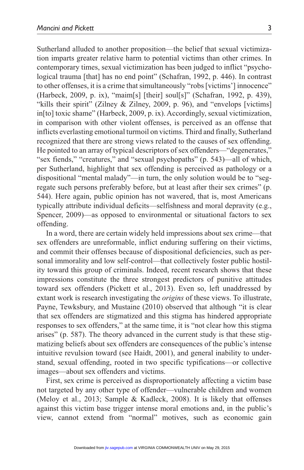Sutherland alluded to another proposition—the belief that sexual victimization imparts greater relative harm to potential victims than other crimes. In contemporary times, sexual victimization has been judged to inflict "psychological trauma [that] has no end point" (Schafran, 1992, p. 446). In contrast to other offenses, it is a crime that simultaneously "robs [victims'] innocence" (Harbeck, 2009, p. ix), "maim[s] [their] soul[s]" (Schafran, 1992, p. 439), "kills their spirit" (Zilney & Zilney, 2009, p. 96), and "envelops [victims] in[to] toxic shame" (Harbeck, 2009, p. ix). Accordingly, sexual victimization, in comparison with other violent offenses, is perceived as an offense that inflicts everlasting emotional turmoil on victims. Third and finally, Sutherland recognized that there are strong views related to the causes of sex offending. He pointed to an array of typical descriptors of sex offenders—"degenerates," "sex fiends," "creatures," and "sexual psychopaths" (p. 543)—all of which, per Sutherland, highlight that sex offending is perceived as pathology or a dispositional "mental malady"—in turn, the only solution would be to "segregate such persons preferably before, but at least after their sex crimes" (p. 544). Here again, public opinion has not wavered, that is, most Americans typically attribute individual deficits—selfishness and moral depravity (e.g., Spencer, 2009)—as opposed to environmental or situational factors to sex offending.

In a word, there are certain widely held impressions about sex crime—that sex offenders are unreformable, inflict enduring suffering on their victims, and commit their offenses because of dispositional deficiencies, such as personal immorality and low self-control—that collectively foster public hostility toward this group of criminals. Indeed, recent research shows that these impressions constitute the three strongest predictors of punitive attitudes toward sex offenders (Pickett et al., 2013). Even so, left unaddressed by extant work is research investigating the *origins* of these views. To illustrate, Payne, Tewksbury, and Mustaine (2010) observed that although "it is clear that sex offenders are stigmatized and this stigma has hindered appropriate responses to sex offenders," at the same time, it is "not clear how this stigma arises" (p. 587). The theory advanced in the current study is that these stigmatizing beliefs about sex offenders are consequences of the public's intense intuitive revulsion toward (see Haidt, 2001), and general inability to understand, sexual offending, rooted in two specific typifications—or collective images—about sex offenders and victims.

First, sex crime is perceived as disproportionately affecting a victim base not targeted by any other type of offender—vulnerable children and women (Meloy et al., 2013; Sample & Kadleck, 2008). It is likely that offenses against this victim base trigger intense moral emotions and, in the public's view, cannot extend from "normal" motives, such as economic gain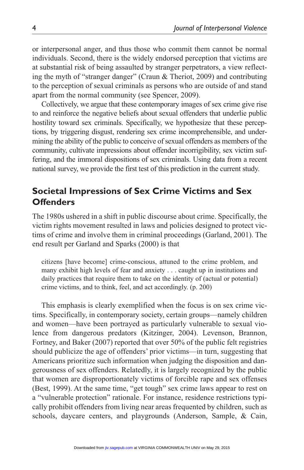or interpersonal anger, and thus those who commit them cannot be normal individuals. Second, there is the widely endorsed perception that victims are at substantial risk of being assaulted by stranger perpetrators, a view reflecting the myth of "stranger danger" (Craun & Theriot, 2009) and contributing to the perception of sexual criminals as persons who are outside of and stand apart from the normal community (see Spencer, 2009).

Collectively, we argue that these contemporary images of sex crime give rise to and reinforce the negative beliefs about sexual offenders that underlie public hostility toward sex criminals. Specifically, we hypothesize that these perceptions, by triggering disgust, rendering sex crime incomprehensible, and undermining the ability of the public to conceive of sexual offenders as members of the community, cultivate impressions about offender incorrigibility, sex victim suffering, and the immoral dispositions of sex criminals. Using data from a recent national survey, we provide the first test of this prediction in the current study.

# **Societal Impressions of Sex Crime Victims and Sex Offenders**

The 1980s ushered in a shift in public discourse about crime. Specifically, the victim rights movement resulted in laws and policies designed to protect victims of crime and involve them in criminal proceedings (Garland, 2001). The end result per Garland and Sparks (2000) is that

citizens [have become] crime-conscious, attuned to the crime problem, and many exhibit high levels of fear and anxiety . . . caught up in institutions and daily practices that require them to take on the identity of (actual or potential) crime victims, and to think, feel, and act accordingly. (p. 200)

This emphasis is clearly exemplified when the focus is on sex crime victims. Specifically, in contemporary society, certain groups—namely children and women—have been portrayed as particularly vulnerable to sexual violence from dangerous predators (Kitzinger, 2004). Levenson, Brannon, Fortney, and Baker (2007) reported that over 50% of the public felt registries should publicize the age of offenders' prior victims—in turn, suggesting that Americans prioritize such information when judging the disposition and dangerousness of sex offenders. Relatedly, it is largely recognized by the public that women are disproportionately victims of forcible rape and sex offenses (Best, 1999). At the same time, "get tough" sex crime laws appear to rest on a "vulnerable protection" rationale. For instance, residence restrictions typically prohibit offenders from living near areas frequented by children, such as schools, daycare centers, and playgrounds (Anderson, Sample, & Cain,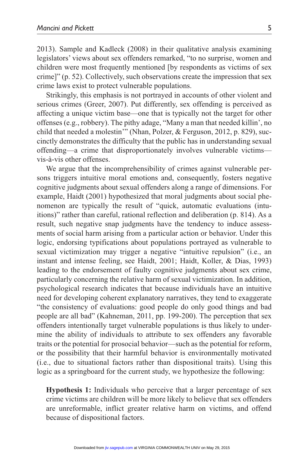2013). Sample and Kadleck (2008) in their qualitative analysis examining legislators' views about sex offenders remarked, "to no surprise, women and children were most frequently mentioned [by respondents as victims of sex crime]" (p. 52). Collectively, such observations create the impression that sex crime laws exist to protect vulnerable populations.

Strikingly, this emphasis is not portrayed in accounts of other violent and serious crimes (Greer, 2007). Put differently, sex offending is perceived as affecting a unique victim base—one that is typically not the target for other offenses (e.g., robbery). The pithy adage, "Many a man that needed killin', no child that needed a molestin'" (Nhan, Polzer, & Ferguson, 2012, p. 829), succinctly demonstrates the difficulty that the public has in understanding sexual offending—a crime that disproportionately involves vulnerable victims vis-à-vis other offenses.

We argue that the incomprehensibility of crimes against vulnerable persons triggers intuitive moral emotions and, consequently, fosters negative cognitive judgments about sexual offenders along a range of dimensions. For example, Haidt (2001) hypothesized that moral judgments about social phenomenon are typically the result of "quick, automatic evaluations (intuitions)" rather than careful, rational reflection and deliberation (p. 814). As a result, such negative snap judgments have the tendency to induce assessments of social harm arising from a particular action or behavior. Under this logic, endorsing typifications about populations portrayed as vulnerable to sexual victimization may trigger a negative "intuitive repulsion" (i.e., an instant and intense feeling, see Haidt, 2001; Haidt, Koller, & Dias, 1993) leading to the endorsement of faulty cognitive judgments about sex crime, particularly concerning the relative harm of sexual victimization. In addition, psychological research indicates that because individuals have an intuitive need for developing coherent explanatory narratives, they tend to exaggerate "the consistency of evaluations: good people do only good things and bad people are all bad" (Kahneman, 2011, pp. 199-200). The perception that sex offenders intentionally target vulnerable populations is thus likely to undermine the ability of individuals to attribute to sex offenders any favorable traits or the potential for prosocial behavior—such as the potential for reform, or the possibility that their harmful behavior is environmentally motivated (i.e., due to situational factors rather than dispositional traits). Using this logic as a springboard for the current study, we hypothesize the following:

**Hypothesis 1:** Individuals who perceive that a larger percentage of sex crime victims are children will be more likely to believe that sex offenders are unreformable, inflict greater relative harm on victims, and offend because of dispositional factors.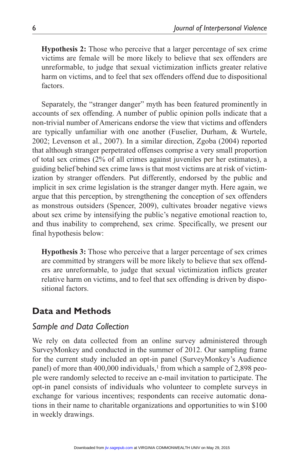**Hypothesis 2:** Those who perceive that a larger percentage of sex crime victims are female will be more likely to believe that sex offenders are unreformable, to judge that sexual victimization inflicts greater relative harm on victims, and to feel that sex offenders offend due to dispositional factors.

Separately, the "stranger danger" myth has been featured prominently in accounts of sex offending. A number of public opinion polls indicate that a non-trivial number of Americans endorse the view that victims and offenders are typically unfamiliar with one another (Fuselier, Durham, & Wurtele, 2002; Levenson et al., 2007). In a similar direction, Zgoba (2004) reported that although stranger perpetrated offenses comprise a very small proportion of total sex crimes (2% of all crimes against juveniles per her estimates), a guiding belief behind sex crime laws is that most victims are at risk of victimization by stranger offenders. Put differently, endorsed by the public and implicit in sex crime legislation is the stranger danger myth. Here again, we argue that this perception, by strengthening the conception of sex offenders as monstrous outsiders (Spencer, 2009), cultivates broader negative views about sex crime by intensifying the public's negative emotional reaction to, and thus inability to comprehend, sex crime. Specifically, we present our final hypothesis below:

**Hypothesis 3:** Those who perceive that a larger percentage of sex crimes are committed by strangers will be more likely to believe that sex offenders are unreformable, to judge that sexual victimization inflicts greater relative harm on victims, and to feel that sex offending is driven by dispositional factors.

# **Data and Methods**

## *Sample and Data Collection*

We rely on data collected from an online survey administered through SurveyMonkey and conducted in the summer of 2012. Our sampling frame for the current study included an opt-in panel (SurveyMonkey's Audience panel) of more than 400,000 individuals,<sup>1</sup> from which a sample of 2,898 people were randomly selected to receive an e-mail invitation to participate. The opt-in panel consists of individuals who volunteer to complete surveys in exchange for various incentives; respondents can receive automatic donations in their name to charitable organizations and opportunities to win \$100 in weekly drawings.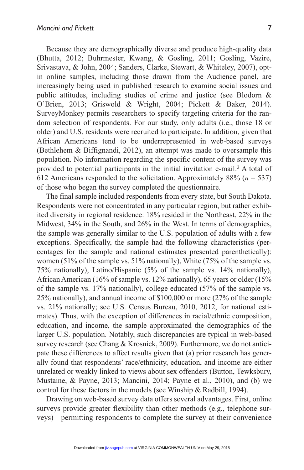Because they are demographically diverse and produce high-quality data (Bhutta, 2012; Buhrmester, Kwang, & Gosling, 2011; Gosling, Vazire, Srivastava, & John, 2004; Sanders, Clarke, Stewart, & Whiteley, 2007), optin online samples, including those drawn from the Audience panel, are increasingly being used in published research to examine social issues and public attitudes, including studies of crime and justice (see Blodorn & O'Brien, 2013; Griswold & Wright, 2004; Pickett & Baker, 2014). SurveyMonkey permits researchers to specify targeting criteria for the random selection of respondents. For our study, only adults (i.e., those 18 or older) and U.S. residents were recruited to participate. In addition, given that African Americans tend to be underrepresented in web-based surveys (Bethlehem & Biffignandi, 2012), an attempt was made to oversample this population. No information regarding the specific content of the survey was

provided to potential participants in the initial invitation e-mail.2 A total of 612 Americans responded to the solicitation. Approximately 88% ( $n = 537$ ) of those who began the survey completed the questionnaire. The final sample included respondents from every state, but South Dakota.

Respondents were not concentrated in any particular region, but rather exhibited diversity in regional residence: 18% resided in the Northeast, 22% in the Midwest, 34% in the South, and 26% in the West. In terms of demographics, the sample was generally similar to the U.S. population of adults with a few exceptions. Specifically, the sample had the following characteristics (percentages for the sample and national estimates presented parenthetically): women (51% of the sample vs. 51% nationally), White (75% of the sample vs. 75% nationally), Latino/Hispanic (5% of the sample vs. 14% nationally), African American (16% of sample vs. 12% nationally), 65 years or older (15% of the sample vs. 17% nationally), college educated (57% of the sample vs. 25% nationally), and annual income of \$100,000 or more (27% of the sample vs. 21% nationally; see U.S. Census Bureau, 2010, 2012, for national estimates). Thus, with the exception of differences in racial/ethnic composition, education, and income, the sample approximated the demographics of the larger U.S. population. Notably, such discrepancies are typical in web-based survey research (see Chang & Krosnick, 2009). Furthermore, we do not anticipate these differences to affect results given that (a) prior research has generally found that respondents' race/ethnicity, education, and income are either unrelated or weakly linked to views about sex offenders (Button, Tewksbury, Mustaine, & Payne, 2013; Mancini, 2014; Payne et al., 2010), and (b) we control for these factors in the models (see Winship & Radbill, 1994).

Drawing on web-based survey data offers several advantages. First, online surveys provide greater flexibility than other methods (e.g., telephone surveys)—permitting respondents to complete the survey at their convenience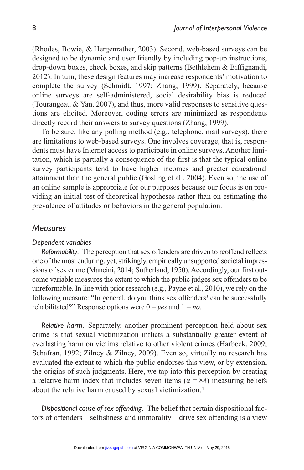(Rhodes, Bowie, & Hergenrather, 2003). Second, web-based surveys can be designed to be dynamic and user friendly by including pop-up instructions, drop-down boxes, check boxes, and skip patterns (Bethlehem & Biffignandi, 2012). In turn, these design features may increase respondents' motivation to complete the survey (Schmidt, 1997; Zhang, 1999). Separately, because online surveys are self-administered, social desirability bias is reduced (Tourangeau  $& Yan, 2007$ ), and thus, more valid responses to sensitive questions are elicited. Moreover, coding errors are minimized as respondents directly record their answers to survey questions (Zhang, 1999).

To be sure, like any polling method (e.g., telephone, mail surveys), there are limitations to web-based surveys. One involves coverage, that is, respondents must have Internet access to participate in online surveys. Another limitation, which is partially a consequence of the first is that the typical online survey participants tend to have higher incomes and greater educational attainment than the general public (Gosling et al., 2004). Even so, the use of an online sample is appropriate for our purposes because our focus is on providing an initial test of theoretical hypotheses rather than on estimating the prevalence of attitudes or behaviors in the general population.

### *Measures*

#### *Dependent variables*

*Reformability*. The perception that sex offenders are driven to reoffend reflects one of the most enduring, yet, strikingly, empirically unsupported societal impressions of sex crime (Mancini, 2014; Sutherland, 1950). Accordingly, our first outcome variable measures the extent to which the public judges sex offenders to be unreformable. In line with prior research (e.g., Payne et al., 2010), we rely on the following measure: "In general, do you think sex offenders<sup>3</sup> can be successfully rehabilitated?" Response options were  $0 = yes$  and  $1 = no$ .

*Relative harm*. Separately, another prominent perception held about sex crime is that sexual victimization inflicts a substantially greater extent of everlasting harm on victims relative to other violent crimes (Harbeck, 2009; Schafran, 1992; Zilney & Zilney, 2009). Even so, virtually no research has evaluated the extent to which the public endorses this view, or by extension, the origins of such judgments. Here, we tap into this perception by creating a relative harm index that includes seven items ( $\alpha$  =.88) measuring beliefs about the relative harm caused by sexual victimization.4

*Dispositional cause of sex offending*. The belief that certain dispositional factors of offenders—selfishness and immorality—drive sex offending is a view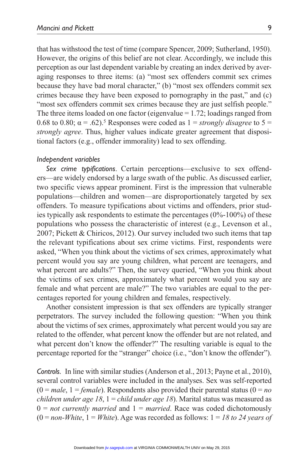that has withstood the test of time (compare Spencer, 2009; Sutherland, 1950). However, the origins of this belief are not clear. Accordingly, we include this perception as our last dependent variable by creating an index derived by averaging responses to three items: (a) "most sex offenders commit sex crimes because they have bad moral character," (b) "most sex offenders commit sex crimes because they have been exposed to pornography in the past," and (c) "most sex offenders commit sex crimes because they are just selfish people." The three items loaded on one factor (eigenvalue  $= 1.72$ ; loadings ranged from 0.68 to 0.80;  $\alpha = .62$ ).<sup>5</sup> Responses were coded as  $1 =$  *strongly disagree* to 5 = *strongly agree*. Thus, higher values indicate greater agreement that dispositional factors (e.g., offender immorality) lead to sex offending.

### *Independent variables*

*Sex crime typifications*. Certain perceptions—exclusive to sex offenders—are widely endorsed by a large swath of the public. As discussed earlier, two specific views appear prominent. First is the impression that vulnerable populations—children and women—are disproportionately targeted by sex offenders. To measure typifications about victims and offenders, prior studies typically ask respondents to estimate the percentages (0%-100%) of these populations who possess the characteristic of interest (e.g., Levenson et al., 2007; Pickett & Chiricos, 2012). Our survey included two such items that tap the relevant typifications about sex crime victims. First, respondents were asked, "When you think about the victims of sex crimes, approximately what percent would you say are young children, what percent are teenagers, and what percent are adults?" Then, the survey queried, "When you think about the victims of sex crimes, approximately what percent would you say are female and what percent are male?" The two variables are equal to the percentages reported for young children and females, respectively.

Another consistent impression is that sex offenders are typically stranger perpetrators. The survey included the following question: "When you think about the victims of sex crimes, approximately what percent would you say are related to the offender, what percent know the offender but are not related, and what percent don't know the offender?" The resulting variable is equal to the percentage reported for the "stranger" choice (i.e., "don't know the offender").

*Controls.* In line with similar studies (Anderson et al., 2013; Payne et al., 2010), several control variables were included in the analyses. Sex was self-reported  $(0 = male, 1 = female)$ . Respondents also provided their parental status  $(0 = no$ *children under age 18*, 1 = *child under age 18*). Marital status was measured as  $0 = not currently married$  and  $1 = married$ . Race was coded dichotomously  $(0 = non-White, 1 = White)$ . Age was recorded as follows:  $1 = 18$  to 24 years of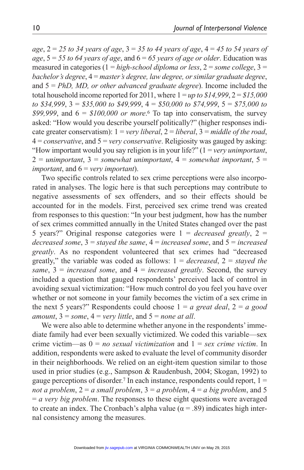*age*, 2 = *25 to 34 years of age*, 3 = *35 to 44 years of age*, 4 = *45 to 54 years of age*, 5 = *55 to 64 years of age*, and 6 = *65 years of age or older*. Education was measured in categories (1 = *high-school diploma or less*, 2 = *some college*, 3 = *bachelor's degree*, 4 = *master's degree, law degree, or similar graduate degree*, and 5 = *PhD, MD, or other advanced graduate degree*). Income included the total household income reported for 2011, where  $1 = up to $14,999, 2 = $15,000$ *to \$34,999*, 3 = *\$35,000 to \$49,999*, 4 = *\$50,000 to \$74,999*, 5 = *\$75,000 to*   $$99,999$ , and  $6 = $100,000$  or more.<sup>6</sup> To tap into conservatism, the survey asked: "How would you describe yourself politically?" (higher responses indicate greater conservatism): 1 = *very liberal*, 2 = *liberal*, 3 = *middle of the road*, 4 = *conservative*, and 5 = *very conservative*. Religiosity was gauged by asking: "How important would you say religion is in your life?" (1 = *very unimportant*,  $2 =$  *unimportant*,  $3 =$  *somewhat unimportant*,  $4 =$  *somewhat important*,  $5 =$ *important*, and 6 = *very important*).

Two specific controls related to sex crime perceptions were also incorporated in analyses. The logic here is that such perceptions may contribute to negative assessments of sex offenders, and so their effects should be accounted for in the models. First, perceived sex crime trend was created from responses to this question: "In your best judgment, how has the number of sex crimes committed annually in the United States changed over the past 5 years?" Original response categories were 1 = *decreased greatly*, 2 = *decreased some*, 3 = *stayed the same*, 4 = *increased some*, and 5 = *increased greatly*. As no respondent volunteered that sex crimes had "decreased greatly," the variable was coded as follows: 1 = *decreased*, 2 = *stayed the*   $same, 3 = increased, some, and 4 = increased, greatly. Second, the survey$ included a question that gauged respondents' perceived lack of control in avoiding sexual victimization: "How much control do you feel you have over whether or not someone in your family becomes the victim of a sex crime in the next 5 years?" Respondents could choose  $1 = a$  great deal,  $2 = a$  good *amount*,  $3 = some, 4 = very little, and 5 = none at all.$ 

We were also able to determine whether anyone in the respondents' immediate family had ever been sexually victimized. We coded this variable—sex crime victim—as 0 = *no sexual victimization* and 1 = *sex crime victim*. In addition, respondents were asked to evaluate the level of community disorder in their neighborhoods. We relied on an eight-item question similar to those used in prior studies (e.g., Sampson & Raudenbush, 2004; Skogan, 1992) to gauge perceptions of disorder.<sup>7</sup> In each instance, respondents could report,  $1 =$ *not a problem,*  $2 = a$  *small problem,*  $3 = a$  *problem,*  $4 = a$  *big problem,* and 5 = *a very big problem*. The responses to these eight questions were averaged to create an index. The Cronbach's alpha value ( $\alpha$  = .89) indicates high internal consistency among the measures.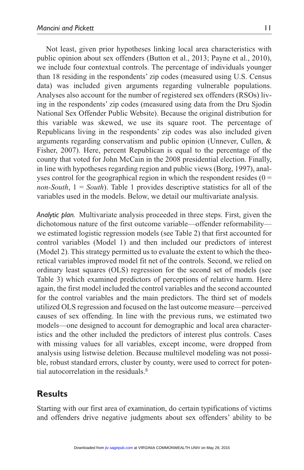Not least, given prior hypotheses linking local area characteristics with public opinion about sex offenders (Button et al., 2013; Payne et al., 2010), we include four contextual controls. The percentage of individuals younger than 18 residing in the respondents' zip codes (measured using U.S. Census data) was included given arguments regarding vulnerable populations. Analyses also account for the number of registered sex offenders (RSOs) living in the respondents' zip codes (measured using data from the Dru Sjodin National Sex Offender Public Website). Because the original distribution for this variable was skewed, we use its square root. The percentage of Republicans living in the respondents' zip codes was also included given arguments regarding conservatism and public opinion (Unnever, Cullen, & Fisher, 2007). Here, percent Republican is equal to the percentage of the county that voted for John McCain in the 2008 presidential election. Finally, in line with hypotheses regarding region and public views (Borg, 1997), analyses control for the geographical region in which the respondent resides  $(0 =$ *non-South*, 1 = *South*). Table 1 provides descriptive statistics for all of the variables used in the models. Below, we detail our multivariate analysis.

*Analytic plan.* Multivariate analysis proceeded in three steps. First, given the dichotomous nature of the first outcome variable—offender reformability we estimated logistic regression models (see Table 2) that first accounted for control variables (Model 1) and then included our predictors of interest (Model 2). This strategy permitted us to evaluate the extent to which the theoretical variables improved model fit net of the controls. Second, we relied on ordinary least squares (OLS) regression for the second set of models (see Table 3) which examined predictors of perceptions of relative harm. Here again, the first model included the control variables and the second accounted for the control variables and the main predictors. The third set of models utilized OLS regression and focused on the last outcome measure—perceived causes of sex offending. In line with the previous runs, we estimated two models—one designed to account for demographic and local area characteristics and the other included the predictors of interest plus controls. Cases with missing values for all variables, except income, were dropped from analysis using listwise deletion. Because multilevel modeling was not possible, robust standard errors, cluster by county, were used to correct for potential autocorrelation in the residuals.8

## **Results**

Starting with our first area of examination, do certain typifications of victims and offenders drive negative judgments about sex offenders' ability to be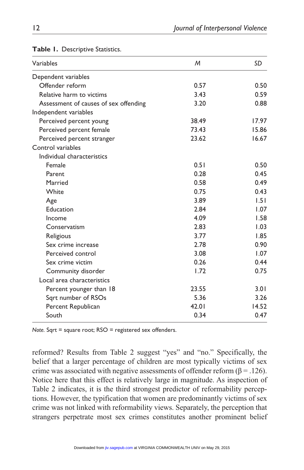| Variables                             | M     | <b>SD</b> |
|---------------------------------------|-------|-----------|
| Dependent variables                   |       |           |
| Offender reform                       | 0.57  | 0.50      |
| Relative harm to victims              | 3.43  | 0.59      |
| Assessment of causes of sex offending | 3.20  | 0.88      |
| Independent variables                 |       |           |
| Perceived percent young               | 38.49 | 17.97     |
| Perceived percent female              | 73.43 | 15.86     |
| Perceived percent stranger            | 23.62 | 16.67     |
| Control variables                     |       |           |
| Individual characteristics            |       |           |
| Female                                | 0.51  | 0.50      |
| Parent                                | 0.28  | 0.45      |
| Married                               | 0.58  | 0.49      |
| White                                 | 0.75  | 0.43      |
| Age                                   | 3.89  | 1.51      |
| Education                             | 2.84  | 1.07      |
| Income                                | 4.09  | 1.58      |
| Conservatism                          | 2.83  | 1.03      |
| Religious                             | 3.77  | 1.85      |
| Sex crime increase                    | 2.78  | 0.90      |
| Perceived control                     | 3.08  | 1.07      |
| Sex crime victim                      | 0.26  | 0.44      |
| Community disorder                    | 1.72  | 0.75      |
| Local area characteristics            |       |           |
| Percent younger than 18               | 23.55 | 3.01      |
| Sqrt number of RSOs                   | 5.36  | 3.26      |
| Percent Republican                    | 42.01 | 14.52     |
| South                                 | 0.34  | 0.47      |

#### **Table 1.** Descriptive Statistics.

*Note.* Sqrt = square root; RSO = registered sex offenders.

reformed? Results from Table 2 suggest "yes" and "no." Specifically, the belief that a larger percentage of children are most typically victims of sex crime was associated with negative assessments of offender reform ( $\beta$  = .126). Notice here that this effect is relatively large in magnitude. As inspection of Table 2 indicates, it is the third strongest predictor of reformability perceptions. However, the typification that women are predominantly victims of sex crime was not linked with reformability views. Separately, the perception that strangers perpetrate most sex crimes constitutes another prominent belief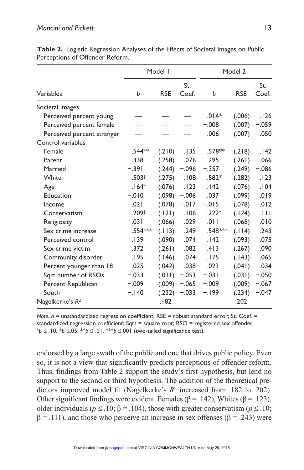|                             | Model I           |            |         | Model 2           |            |          |
|-----------------------------|-------------------|------------|---------|-------------------|------------|----------|
|                             |                   |            | St.     |                   |            | St.      |
| Variables                   | b                 | <b>RSE</b> | Coef.   | b                 | <b>RSE</b> | Coef.    |
| Societal images             |                   |            |         |                   |            |          |
| Perceived percent young     |                   |            |         | $.014*$           | (.006)     | .126     |
| Perceived percent female    |                   |            |         | $-.008$           | (.007)     | $-.059$  |
| Perceived percent stranger  |                   |            |         | .006              | (.007)     | .050     |
| Control variables           |                   |            |         |                   |            |          |
| Female                      | .544**            | (.210)     | .135    | .578**            | (.218)     | .142     |
| Parent                      | .338              | (.258)     | .076    | .295              | (.261)     | .066     |
| Married                     | $-.391$           | (.244)     | $-.096$ | $-.357$           | (.249)     | $-.086$  |
| White                       | .503 <sup>†</sup> | (.275)     | .108    | $.582*$           | (.282)     | .123     |
| Age                         | $.164*$           | (.076)     | .123    | .142 <sup>†</sup> | (.076)     | .104     |
| Education                   | $-.010$           | (.098)     | $-.006$ | .037              | (.099)     | .019     |
| Income                      | $-.021$           | (.078)     | $-.017$ | $-0.015$          | (.078)     | $-0.012$ |
| Conservatism                | .209 <sup>†</sup> | (.121)     | .106    | $.222^{+}$        | (.124)     | .H       |
| Religiosity                 | .031              | (.066)     | .029    | .011              | (.068)     | .010     |
| Sex crime increase          | .554***           | (.113)     | .249    | .548***           | (.114)     | .243     |
| Perceived control           | .139              | (.090)     | .074    | .142              | (.093)     | .075     |
| Sex crime victim            | .372              | (.261)     | .082    | .413              | (.267)     | .090     |
| Community disorder          | .195              | (.146)     | .074    | .175              | (.143)     | .065     |
| Percent younger than 18     | .025              | (.042)     | .038    | .023              | (.041)     | .034     |
| Sart number of RSOs         | $-.033$           | (.031)     | $-.053$ | $-.031$           | (.031)     | $-.050$  |
| Percent Republican          | $-.009$           | (.009)     | $-.065$ | $-.009$           | (.009)     | $-.067$  |
| South                       | $-.140$           | (.232)     | $-.033$ | $-.199$           | (.234)     | $-.047$  |
| Nagelkerke's R <sup>2</sup> |                   | .182       |         |                   | .202       |          |

**Table 2.** Logistic Regression Analyses of the Effects of Societal Images on Public Perceptions of Offender Reform.

*Note. b* = unstandardized regression coefficient; RSE = robust standard error; St. Coef. = standardized regression coefficient; Sqrt = square root; RSO = registered sex offender. †*p* ≤ .10. \**p* ≤.05. \*\**p* ≤ .01. \*\*\**p* ≤.001 (two-tailed significance test).

endorsed by a large swath of the public and one that drives public policy. Even so, it is not a view that significantly predicts perceptions of offender reform. Thus, findings from Table 2 support the study's first hypothesis, but lend no support to the second or third hypothesis. The addition of the theoretical predictors improved model fit (Nagelkerke's *R*2 increased from .182 to .202). Other significant findings were evident. Females ( $\beta$  = .142), Whites ( $\beta$  = .123), older individuals ( $p \le 0.10$ ;  $\beta = 0.104$ ), those with greater conservatism ( $p \le 0.10$ ;  $\beta = .111$ , and those who perceive an increase in sex offenses ( $\beta = .243$ ) were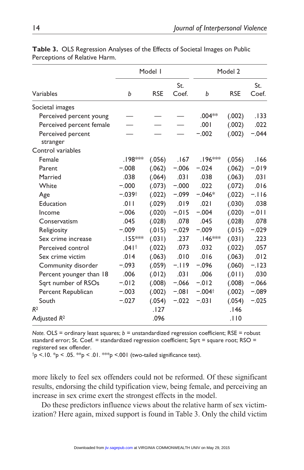|                               |                   | Model I    |         | Model 2             |            |          |
|-------------------------------|-------------------|------------|---------|---------------------|------------|----------|
|                               |                   |            | St.     |                     |            | St.      |
| Variables                     | b                 | <b>RSE</b> | Coef.   | b                   | <b>RSE</b> | Coef.    |
| Societal images               |                   |            |         |                     |            |          |
| Perceived percent young       |                   |            |         | $.004**$            | (.002)     | .133     |
| Perceived percent female      |                   |            |         | .001                | (.002)     | .022     |
| Perceived percent<br>stranger |                   |            |         | $-.002$             | (.002)     | $-.044$  |
| Control variables             |                   |            |         |                     |            |          |
| Female                        | .198 ***          | (.056)     | .167    | .196***             | (.056)     | .166     |
| Parent                        | $-.008$           | (.062)     | $-.006$ | $-.024$             | (.062)     | $-0.019$ |
| Married                       | .038              | (.064)     | .031    | .038                | (.063)     | .031     |
| White                         | $-.000$           | (.073)     | $-.000$ | .022                | (.072)     | .016     |
| Age                           | $-.039†$          | (.022)     | $-.099$ | $-.046*$            | (.022)     | $-.116$  |
| Education                     | .011              | (.029)     | .019    | .021                | (.030)     | .038     |
| Income                        | $-.006$           | (.020)     | $-.015$ | $-.004$             | (.020)     | $-.011$  |
| Conservatism                  | .045              | (.028)     | .078    | .045                | (.028)     | .078     |
| Religiosity                   | $-.009$           | (.015)     | $-.029$ | $-.009$             | (.015)     | $-.029$  |
| Sex crime increase            | $.155***$         | (.031)     | .237    | .146 <sup>***</sup> | (.031)     | .223     |
| Perceived control             | .041 <sup>†</sup> | (.022)     | .073    | .032                | (.022)     | .057     |
| Sex crime victim              | .014              | (.063)     | .010    | .016                | (.063)     | .012     |
| Community disorder            | $-.093$           | (.059)     | $-.119$ | $-.096$             | (.060)     | $-.123$  |
| Percent younger than 18       | .006              | (.012)     | .031    | .006                | (.011)     | .030     |
| Sqrt number of RSOs           | $-.012$           | (.008)     | $-.066$ | $-.012$             | (0.008)    | $-.066$  |
| Percent Republican            | $-.003$           | (.002)     | $-.081$ | $-.004†$            | (.002)     | $-.089$  |
| South                         | $-.027$           | (.054)     | $-.022$ | $-.031$             | (.054)     | $-.025$  |
| R <sup>2</sup>                |                   | .127       |         |                     | .146       |          |
| Adjusted $R^2$                |                   | .096       |         |                     | .110       |          |

| Table 3. OLS Regression Analyses of the Effects of Societal Images on Public |  |
|------------------------------------------------------------------------------|--|
| Perceptions of Relative Harm.                                                |  |

*Note.* OLS = ordinary least squares; *b* = unstandardized regression coefficient; RSE = robust standard error; St. Coef. = standardized regression coefficient; Sqrt = square root; RSO = registered sex offender.

 $\text{tp}$  <.10. \*p < .05. \*\*p < .01. \*\*p < .001 (two-tailed significance test).

more likely to feel sex offenders could not be reformed. Of these significant results, endorsing the child typification view, being female, and perceiving an increase in sex crime exert the strongest effects in the model.

Do these predictors influence views about the relative harm of sex victimization? Here again, mixed support is found in Table 3. Only the child victim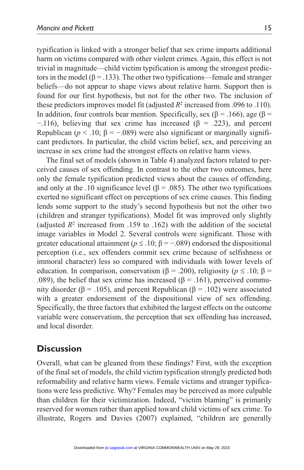typification is linked with a stronger belief that sex crime imparts additional harm on victims compared with other violent crimes. Again, this effect is not trivial in magnitude—child victim typification is among the strongest predictors in the model ( $\beta$  = .133). The other two typifications—female and stranger beliefs—do not appear to shape views about relative harm. Support then is found for our first hypothesis, but not for the other two. The inclusion of these predictors improves model fit (adjusted *R*2 increased from .096 to .110). In addition, four controls bear mention. Specifically, sex ( $\beta$  = .166), age ( $\beta$  =  $-116$ ), believing that sex crime has increased ( $\beta$  = .223), and percent Republican ( $p < 0.10$ ;  $\beta = -0.089$ ) were also significant or marginally significant predictors. In particular, the child victim belief, sex, and perceiving an increase in sex crime had the strongest effects on relative harm views.

The final set of models (shown in Table 4) analyzed factors related to perceived causes of sex offending. In contrast to the other two outcomes, here only the female typification predicted views about the causes of offending, and only at the .10 significance level ( $\beta$  = .085). The other two typifications exerted no significant effect on perceptions of sex crime causes. This finding lends some support to the study's second hypothesis but not the other two (children and stranger typifications). Model fit was improved only slightly (adjusted *R*2 increased from .159 to .162) with the addition of the societal image variables in Model 2. Several controls were significant. Those with greater educational attainment ( $p \le 0.10$ ;  $\beta = -.089$ ) endorsed the dispositional perception (i.e., sex offenders commit sex crime because of selfishness or immoral character) less so compared with individuals with lower levels of education. In comparison, conservatism ( $β = .200$ ), religiosity ( $p \le .10$ ;  $β =$ .089), the belief that sex crime has increased ( $\beta$  = .161), perceived community disorder ( $\beta$  = .105), and percent Republican ( $\beta$  = .102) were associated with a greater endorsement of the dispositional view of sex offending. Specifically, the three factors that exhibited the largest effects on the outcome variable were conservatism, the perception that sex offending has increased, and local disorder.

# **Discussion**

Overall, what can be gleaned from these findings? First, with the exception of the final set of models, the child victim typification strongly predicted both reformability and relative harm views. Female victims and stranger typifications were less predictive. Why? Females may be perceived as more culpable than children for their victimization. Indeed, "victim blaming" is primarily reserved for women rather than applied toward child victims of sex crime. To illustrate, Rogers and Davies (2007) explained, "children are generally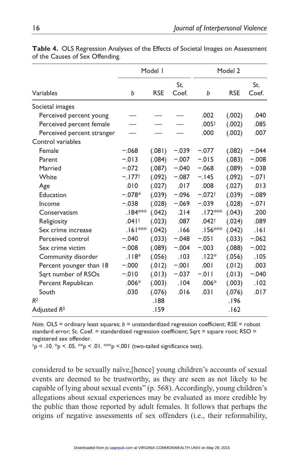|                            | Model I              |            |              | Model 2             |            |              |
|----------------------------|----------------------|------------|--------------|---------------------|------------|--------------|
| Variables                  | b                    | <b>RSE</b> | St.<br>Coef. | b                   | <b>RSE</b> | St.<br>Coef. |
| Societal images            |                      |            |              |                     |            |              |
| Perceived percent young    |                      |            |              | .002                | (.002)     | .040         |
| Perceived percent female   |                      |            |              | $.005+$             | (.002)     | .085         |
| Perceived percent stranger |                      |            |              | .000                | (.002)     | .007         |
| Control variables          |                      |            |              |                     |            |              |
| Female                     | $-.068$              | (.081)     | $-.039$      | $-.077$             | (.082)     | $-.044$      |
| Parent                     | $-.013$              | (.084)     | $-.007$      | $-0.015$            | (.083)     | $-.008$      |
| Married                    | $-.072$              | (.087)     | $-.040$      | $-.068$             | (.089)     | $-.038$      |
| White                      | $-.177$ <sup>+</sup> | (.092)     | $-.087$      | $-.145$             | (.092)     | $-.071$      |
| Age                        | .010                 | (.027)     | .017         | .008                | (.027)     | .013         |
| Education                  | $-.078*$             | (.039)     | $-.096$      | $-.072†$            | (.039)     | $-.089$      |
| Income                     | $-.038$              | (.028)     | $-.069$      | $-.039$             | (.028)     | $-.071$      |
| Conservatism               | $.184***$            | (.042)     | .214         | $.172***$           | (.043)     | .200         |
| Religiosity                | .041 <sup>†</sup>    | (.023)     | .087         | .042 <sup>†</sup>   | (.024)     | .089         |
| Sex crime increase         | .161 <sup>≭≉≉</sup>  | (.042)     | .166         | .156 <sup>*</sup> * | (.042)     | .161         |
| Perceived control          | $-.040$              | (.033)     | $-.048$      | $-.051$             | (.033)     | $-.062$      |
| Sex crime victim           | $-0.008$             | (.089)     | $-.004$      | $-.003$             | (0.088)    | $-.002$      |
| Community disorder         | $.118*$              | (.056)     | .103         | $.122*$             | (.056)     | .105         |
| Percent younger than 18    | $-.000$              | (.012)     | $-.001$      | .001                | (.012)     | .003         |
| Sqrt number of RSOs        | $-0.010$             | (.013)     | $-.037$      | $-.011$             | (.013)     | $-.040$      |
| Percent Republican         | $.006*$              | (.003)     | .104         | $.006*$             | (.003)     | .102         |
| South                      | .030                 | (.076)     | .016         | .031                | (.076)     | .017         |
| R <sup>2</sup>             |                      | .188       |              |                     | .196       |              |
| Adjusted $R^2$             |                      | .159       |              |                     | .162       |              |

| <b>Table 4.</b> OLS Regression Analyses of the Effects of Societal Images on Assessment |  |  |  |  |
|-----------------------------------------------------------------------------------------|--|--|--|--|
| of the Causes of Sex Offending.                                                         |  |  |  |  |

*Note.* OLS = ordinary least squares; *b* = unstandardized regression coefficient; RSE = robust standard error; St. Coef. = standardized regression coefficient; Sqrt = square root; RSO = registered sex offender.

 $\text{tp}$  < .10. \*p < .05. \*\*p < .01. \*\*p < .001 (two-tailed significance test).

considered to be sexually naïve,[hence] young children's accounts of sexual events are deemed to be trustworthy, as they are seen as not likely to be capable of lying about sexual events" (p. 568). Accordingly, young children's allegations about sexual experiences may be evaluated as more credible by the public than those reported by adult females. It follows that perhaps the origins of negative assessments of sex offenders (i.e., their reformability,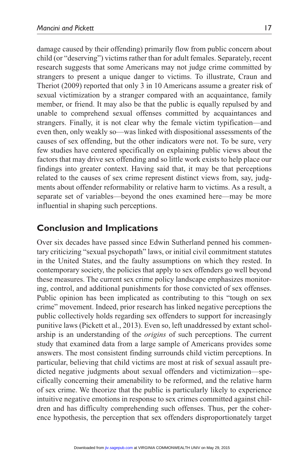damage caused by their offending) primarily flow from public concern about child (or "deserving") victims rather than for adult females. Separately, recent research suggests that some Americans may not judge crime committed by strangers to present a unique danger to victims. To illustrate, Craun and Theriot (2009) reported that only 3 in 10 Americans assume a greater risk of sexual victimization by a stranger compared with an acquaintance, family member, or friend. It may also be that the public is equally repulsed by and unable to comprehend sexual offenses committed by acquaintances and strangers. Finally, it is not clear why the female victim typification—and even then, only weakly so—was linked with dispositional assessments of the causes of sex offending, but the other indicators were not. To be sure, very few studies have centered specifically on explaining public views about the factors that may drive sex offending and so little work exists to help place our findings into greater context. Having said that, it may be that perceptions related to the causes of sex crime represent distinct views from, say, judgments about offender reformability or relative harm to victims. As a result, a separate set of variables—beyond the ones examined here—may be more influential in shaping such perceptions.

# **Conclusion and Implications**

Over six decades have passed since Edwin Sutherland penned his commentary criticizing "sexual psychopath" laws, or initial civil commitment statutes in the United States, and the faulty assumptions on which they rested. In contemporary society, the policies that apply to sex offenders go well beyond these measures. The current sex crime policy landscape emphasizes monitoring, control, and additional punishments for those convicted of sex offenses. Public opinion has been implicated as contributing to this "tough on sex crime" movement. Indeed, prior research has linked negative perceptions the public collectively holds regarding sex offenders to support for increasingly punitive laws (Pickett et al., 2013). Even so, left unaddressed by extant scholarship is an understanding of the *origins* of such perceptions. The current study that examined data from a large sample of Americans provides some answers. The most consistent finding surrounds child victim perceptions. In particular, believing that child victims are most at risk of sexual assault predicted negative judgments about sexual offenders and victimization—specifically concerning their amenability to be reformed, and the relative harm of sex crime. We theorize that the public is particularly likely to experience intuitive negative emotions in response to sex crimes committed against children and has difficulty comprehending such offenses. Thus, per the coherence hypothesis, the perception that sex offenders disproportionately target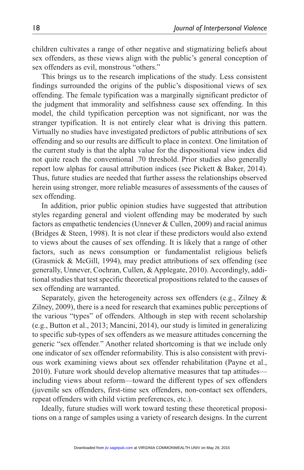children cultivates a range of other negative and stigmatizing beliefs about sex offenders, as these views align with the public's general conception of sex offenders as evil, monstrous "others."

This brings us to the research implications of the study. Less consistent findings surrounded the origins of the public's dispositional views of sex offending. The female typification was a marginally significant predictor of the judgment that immorality and selfishness cause sex offending. In this model, the child typification perception was not significant, nor was the stranger typification. It is not entirely clear what is driving this pattern. Virtually no studies have investigated predictors of public attributions of sex offending and so our results are difficult to place in context. One limitation of the current study is that the alpha value for the dispositional view index did not quite reach the conventional .70 threshold. Prior studies also generally report low alphas for causal attribution indices (see Pickett & Baker, 2014). Thus, future studies are needed that further assess the relationships observed herein using stronger, more reliable measures of assessments of the causes of sex offending.

In addition, prior public opinion studies have suggested that attribution styles regarding general and violent offending may be moderated by such factors as empathetic tendencies (Unnever & Cullen, 2009) and racial animus (Bridges & Steen, 1998). It is not clear if these predictors would also extend to views about the causes of sex offending. It is likely that a range of other factors, such as news consumption or fundamentalist religious beliefs (Grasmick & McGill, 1994), may predict attributions of sex offending (see generally, Unnever, Cochran, Cullen, & Applegate, 2010). Accordingly, additional studies that test specific theoretical propositions related to the causes of sex offending are warranted.

Separately, given the heterogeneity across sex offenders (e.g., Zilney & Zilney, 2009), there is a need for research that examines public perceptions of the various "types" of offenders. Although in step with recent scholarship (e.g., Button et al., 2013; Mancini, 2014), our study is limited in generalizing to specific sub-types of sex offenders as we measure attitudes concerning the generic "sex offender." Another related shortcoming is that we include only one indicator of sex offender reformability. This is also consistent with previous work examining views about sex offender rehabilitation (Payne et al., 2010). Future work should develop alternative measures that tap attitudes including views about reform—toward the different types of sex offenders (juvenile sex offenders, first-time sex offenders, non-contact sex offenders, repeat offenders with child victim preferences, etc.).

Ideally, future studies will work toward testing these theoretical propositions on a range of samples using a variety of research designs. In the current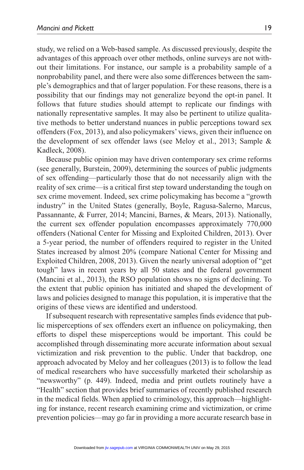study, we relied on a Web-based sample. As discussed previously, despite the advantages of this approach over other methods, online surveys are not without their limitations. For instance, our sample is a probability sample of a nonprobability panel, and there were also some differences between the sample's demographics and that of larger population. For these reasons, there is a possibility that our findings may not generalize beyond the opt-in panel. It follows that future studies should attempt to replicate our findings with nationally representative samples. It may also be pertinent to utilize qualitative methods to better understand nuances in public perceptions toward sex offenders (Fox, 2013), and also policymakers' views, given their influence on the development of sex offender laws (see Meloy et al., 2013; Sample & Kadleck, 2008).

Because public opinion may have driven contemporary sex crime reforms (see generally, Burstein, 2009), determining the sources of public judgments of sex offending—particularly those that do not necessarily align with the reality of sex crime—is a critical first step toward understanding the tough on sex crime movement. Indeed, sex crime policymaking has become a "growth industry" in the United States (generally, Boyle, Ragusa-Salerno, Marcus, Passannante, & Furrer, 2014; Mancini, Barnes, & Mears, 2013). Nationally, the current sex offender population encompasses approximately 770,000 offenders (National Center for Missing and Exploited Children, 2013). Over a 5-year period, the number of offenders required to register in the United States increased by almost 20% (compare National Center for Missing and Exploited Children, 2008, 2013). Given the nearly universal adoption of "get tough" laws in recent years by all 50 states and the federal government (Mancini et al., 2013), the RSO population shows no signs of declining. To the extent that public opinion has initiated and shaped the development of laws and policies designed to manage this population, it is imperative that the origins of these views are identified and understood.

If subsequent research with representative samples finds evidence that public misperceptions of sex offenders exert an influence on policymaking, then efforts to dispel these misperceptions would be important. This could be accomplished through disseminating more accurate information about sexual victimization and risk prevention to the public. Under that backdrop, one approach advocated by Meloy and her colleagues (2013) is to follow the lead of medical researchers who have successfully marketed their scholarship as "newsworthy" (p. 449). Indeed, media and print outlets routinely have a "Health" section that provides brief summaries of recently published research in the medical fields. When applied to criminology, this approach—highlighting for instance, recent research examining crime and victimization, or crime prevention policies—may go far in providing a more accurate research base in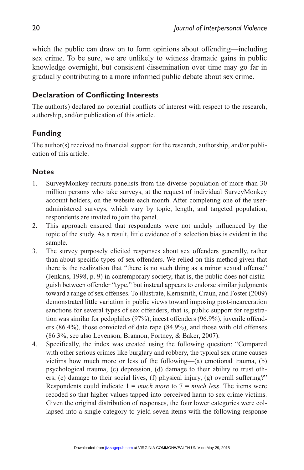which the public can draw on to form opinions about offending—including sex crime. To be sure, we are unlikely to witness dramatic gains in public knowledge overnight, but consistent dissemination over time may go far in gradually contributing to a more informed public debate about sex crime.

### **Declaration of Conflicting Interests**

The author(s) declared no potential conflicts of interest with respect to the research, authorship, and/or publication of this article.

## **Funding**

The author(s) received no financial support for the research, authorship, and/or publication of this article.

### **Notes**

- 1. SurveyMonkey recruits panelists from the diverse population of more than 30 million persons who take surveys, at the request of individual SurveyMonkey account holders, on the website each month. After completing one of the useradministered surveys, which vary by topic, length, and targeted population, respondents are invited to join the panel.
- 2. This approach ensured that respondents were not unduly influenced by the topic of the study. As a result, little evidence of a selection bias is evident in the sample.
- 3. The survey purposely elicited responses about sex offenders generally, rather than about specific types of sex offenders. We relied on this method given that there is the realization that "there is no such thing as a minor sexual offense" (Jenkins, 1998, p. 9) in contemporary society, that is, the public does not distinguish between offender "type," but instead appears to endorse similar judgments toward a range of sex offenses. To illustrate, Kernsmith, Craun, and Foster (2009) demonstrated little variation in public views toward imposing post-incarceration sanctions for several types of sex offenders, that is, public support for registration was similar for pedophiles (97%), incest offenders (96.9%), juvenile offenders (86.4%), those convicted of date rape (84.9%), and those with old offenses (86.3%; see also Levenson, Brannon, Fortney, & Baker, 2007).
- 4. Specifically, the index was created using the following question: "Compared with other serious crimes like burglary and robbery, the typical sex crime causes victims how much more or less of the following—(a) emotional trauma, (b) psychological trauma, (c) depression, (d) damage to their ability to trust others, (e) damage to their social lives, (f) physical injury, (g) overall suffering?" Respondents could indicate 1 = *much more* to 7 = *much less*. The items were recoded so that higher values tapped into perceived harm to sex crime victims. Given the original distribution of responses, the four lower categories were collapsed into a single category to yield seven items with the following response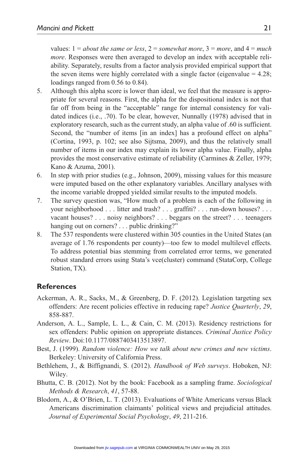values:  $1 = about the same or less, 2 = somewhat more, 3 = more, and 4 = much$ *more*. Responses were then averaged to develop an index with acceptable reliability. Separately, results from a factor analysis provided empirical support that the seven items were highly correlated with a single factor (eigenvalue  $= 4.28$ ; loadings ranged from 0.56 to 0.84).

- 5. Although this alpha score is lower than ideal, we feel that the measure is appropriate for several reasons. First, the alpha for the dispositional index is not that far off from being in the "acceptable" range for internal consistency for validated indices (i.e., .70). To be clear, however, Nunnally (1978) advised that in exploratory research, such as the current study, an alpha value of .60 is sufficient. Second, the "number of items [in an index] has a profound effect on alpha" (Cortina, 1993, p. 102; see also Sijtsma, 2009), and thus the relatively small number of items in our index may explain its lower alpha value. Finally, alpha provides the most conservative estimate of reliability (Carmines & Zeller, 1979; Kano & Azuma, 2001).
- 6. In step with prior studies (e.g., Johnson, 2009), missing values for this measure were imputed based on the other explanatory variables. Ancillary analyses with the income variable dropped yielded similar results to the imputed models.
- 7. The survey question was, "How much of a problem is each of the following in your neighborhood . . . litter and trash? . . . graffiti? . . . run-down houses? . . . vacant houses? . . . noisy neighbors? . . . beggars on the street? . . . teenagers hanging out on corners? . . . public drinking?"
- 8. The 537 respondents were clustered within 305 counties in the United States (an average of 1.76 respondents per county)—too few to model multilevel effects. To address potential bias stemming from correlated error terms, we generated robust standard errors using Stata's vce(cluster) command (StataCorp, College Station, TX).

### **References**

- Ackerman, A. R., Sacks, M., & Greenberg, D. F. (2012). Legislation targeting sex offenders: Are recent policies effective in reducing rape? *Justice Quarterly*, *29*, 858-887.
- Anderson, A. L., Sample, L. L., & Cain, C. M. (2013). Residency restrictions for sex offenders: Public opinion on appropriate distances. *Criminal Justice Policy Review*. Doi:10.1177/0887403413513897.
- Best, J. (1999). *Random violence: How we talk about new crimes and new victims*. Berkeley: University of California Press.
- Bethlehem, J., & Biffignandi, S. (2012). *Handbook of Web surveys*. Hoboken, NJ: Wiley.
- Bhutta, C. B. (2012). Not by the book: Facebook as a sampling frame. *Sociological Methods & Research*, *41*, 57-88.
- Blodorn, A., & O'Brien, L. T. (2013). Evaluations of White Americans versus Black Americans discrimination claimants' political views and prejudicial attitudes. *Journal of Experimental Social Psychology*, *49*, 211-216.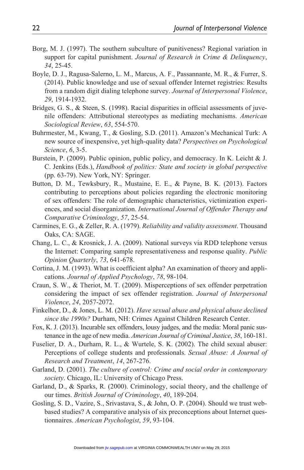- Borg, M. J. (1997). The southern subculture of punitiveness? Regional variation in support for capital punishment. *Journal of Research in Crime & Delinquency*, *34*, 25-45.
- Boyle, D. J., Ragusa-Salerno, L. M., Marcus, A. F., Passannante, M. R., & Furrer, S. (2014). Public knowledge and use of sexual offender Internet registries: Results from a random digit dialing telephone survey. *Journal of Interpersonal Violence*, *29*, 1914-1932.
- Bridges, G. S., & Steen, S. (1998). Racial disparities in official assessments of juvenile offenders: Attributional stereotypes as mediating mechanisms. *American Sociological Review*, *63*, 554-570.
- Buhrmester, M., Kwang, T., & Gosling, S.D. (2011). Amazon's Mechanical Turk: A new source of inexpensive, yet high-quality data? *Perspectives on Psychological Science*, *6*, 3-5.
- Burstein, P. (2009). Public opinion, public policy, and democracy. In K. Leicht & J. C. Jenkins (Eds.), *Handbook of politics: State and society in global perspective* (pp. 63-79). New York, NY: Springer.
- Button, D. M., Tewksbury, R., Mustaine, E. E., & Payne, B. K. (2013). Factors contributing to perceptions about policies regarding the electronic monitoring of sex offenders: The role of demographic characteristics, victimization experiences, and social disorganization. *International Journal of Offender Therapy and Comparative Criminology*, *57*, 25-54.
- Carmines, E. G., & Zeller, R. A. (1979). *Reliability and validity assessment*. Thousand Oaks, CA: SAGE.
- Chang, L. C., & Krosnick, J. A. (2009). National surveys via RDD telephone versus the Internet: Comparing sample representativeness and response quality. *Public Opinion Quarterly*, *73*, 641-678.
- Cortina, J. M. (1993). What is coefficient alpha? An examination of theory and applications. *Journal of Applied Psychology*, *78*, 98-104.
- Craun, S. W., & Theriot, M. T. (2009). Misperceptions of sex offender perpetration considering the impact of sex offender registration. *Journal of Interpersonal Violence*, *24*, 2057-2072.
- Finkelhor, D., & Jones, L. M. (2012). *Have sexual abuse and physical abuse declined since the 1990s?* Durham, NH: Crimes Against Children Research Center.
- Fox, K. J. (2013). Incurable sex offenders, lousy judges, and the media: Moral panic sustenance in the age of new media. *American Journal of Criminal Justice*, *38*, 160-181.
- Fuselier, D. A., Durham, R. L., & Wurtele, S. K. (2002). The child sexual abuser: Perceptions of college students and professionals. *Sexual Abuse: A Journal of Research and Treatment*, *14*, 267-276.
- Garland, D. (2001). *The culture of control: Crime and social order in contemporary society*. Chicago, IL: University of Chicago Press.
- Garland, D., & Sparks, R. (2000). Criminology, social theory, and the challenge of our times. *British Journal of Criminology*, *40*, 189-204.
- Gosling, S. D., Vazire, S., Srivastava, S., & John, O. P. (2004). Should we trust webbased studies? A comparative analysis of six preconceptions about Internet questionnaires. *American Psychologist*, *59*, 93-104.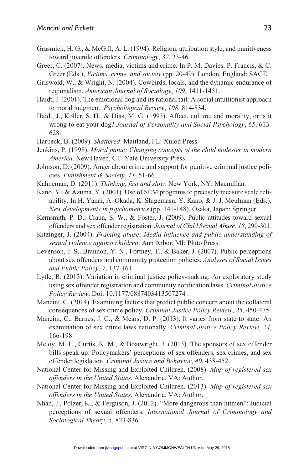- Grasmick, H. G., & McGill, A. L. (1994). Religion, attribution style, and punitiveness toward juvenile offenders. *Criminology*, *32*, 23-46.
- Greer, C. (2007). News, media, victims and crime. In P. M. Davies, P. Francis, & C. Greer (Eds.), *Victims, crime, and society* (pp. 20-49). London, England: SAGE.
- Griswold, W., & Wright, N. (2004). Cowbirds, locals, and the dynamic endurance of regionalism. *American Journal of Sociology*, *109*, 1411-1451.
- Haidt, J. (2001). The emotional dog and its rational tail: A social intuitionist approach to moral judgment. *Psychological Review*, *108*, 814-834.
- Haidt, J., Koller, S. H., & Dias, M. G. (1993). Affect, culture, and morality, or is it wrong to eat your dog? *Journal of Personality and Social Psychology*, *65*, 613- 628.
- Harbeck, B. (2009). *Shattered*. Maitland, FL: Xulon Press.
- Jenkins, P. (1998). *Moral panic: Changing concepts of the child molester in modern America*. New Haven, CT: Yale University Press.
- Johnson, D. (2009). Anger about crime and support for punitive criminal justice policies. *Punishment & Society*, *11*, 51-66.
- Kahneman, D. (2011). *Thinking, fast and slow*. New York, NY: Macmillan.
- Kano, Y., & Azuma, Y. (2001). Use of SEM programs to precisely measure scale reliability. In H. Yanai, A. Okada, K. Shigemasu, Y. Kano, & J. J. Meulman (Eds.), *New developments in psychometrics* (pp. 141-148). Osaka, Japan: Springer.
- Kernsmith, P. D., Craun, S. W., & Foster, J. (2009). Public attitudes toward sexual offenders and sex offender registration. *Journal of Child Sexual Abuse*, *18*, 290-301.
- Kitzinger, J. (2004). *Framing abuse: Media influence and public understanding of sexual violence against children*. Ann Arbor, MI: Pluto Press.
- Levenson, J. S., Brannon, Y. N., Fortney, T., & Baker, J. (2007). Public perceptions about sex offenders and community protection policies. *Analyses of Social Issues and Public Policy*, *7*, 137-161.
- Lytle, R. (2013). Variation in criminal justice policy-making: An exploratory study using sex offender registration and community notification laws. *Criminal Justice Policy Review*. Doi: 10.1177/0887403413507274 .
- Mancini, C. (2014). Examining factors that predict public concern about the collateral consequences of sex crime policy. *Criminal Justice Policy Review*, *25*, 450-475.
- Mancini, C., Barnes, J. C., & Mears, D. P. (2013). It varies from state to state: An examination of sex crime laws nationally. *Criminal Justice Policy Review*, *24*, 166-198.
- Meloy, M. L., Curtis, K. M., & Boatwright, J. (2013). The sponsors of sex offender bills speak up: Policymakers' perceptions of sex offenders, sex crimes, and sex offender legislation. *Criminal Justice and Behavior*, *40*, 438-452.
- National Center for Missing and Exploited Children. (2008). *Map of registered sex offenders in the United States*. Alexandria, VA: Author.
- National Center for Missing and Exploited Children. (2013). *Map of registered sex offenders in the United States*. Alexandria, VA: Author.
- Nhan, J., Polzer, K., & Ferguson, J. (2012). "More dangerous than hitmen": Judicial perceptions of sexual offenders. *International Journal of Criminology and Sociological Theory*, *5*, 823-836.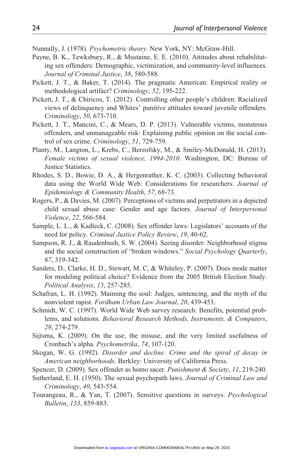- Nunnally, J. (1978). *Psychometric theory*. New York, NY: McGraw-Hill.
- Payne, B. K., Tewksbury, R., & Mustaine, E. E. (2010). Attitudes about rehabilitating sex offenders: Demographic, victimization, and community-level influences. *Journal of Criminal Justice*, *38*, 580-588.
- Pickett, J. T., & Baker, T. (2014). The pragmatic American: Empirical reality or methodological artifact? *Criminology*, *52*, 195-222.
- Pickett, J. T., & Chiricos, T. (2012). Controlling other people's children: Racialized views of delinquency and Whites' punitive attitudes toward juvenile offenders. *Criminology*, *50*, 673-710.
- Pickett, J. T., Mancini, C., & Mears, D. P. (2013). Vulnerable victims, monstrous offenders, and unmanageable risk: Explaining public opinion on the social control of sex crime. *Criminology*, *51*, 729-759.
- Planty, M., Langton, L., Krebs, C., Berzofsky, M., & Smiley-McDonald, H. (2013). *Female victims of sexual violence, 1994-2010*. Washington, DC: Bureau of Justice Statistics.
- Rhodes, S. D., Bowie, D. A., & Hergenrather, K. C. (2003). Collecting behavioral data using the World Wide Web: Considerations for researchers. *Journal of Epidemiology & Community Health*, *57*, 68-73.
- Rogers, P., & Davies, M. (2007). Perceptions of victims and perpetrators in a depicted child sexual abuse case: Gender and age factors. *Journal of Interpersonal Violence*, *22*, 566-584.
- Sample, L. L., & Kadleck, C. (2008). Sex offender laws: Legislators' accounts of the need for policy. *Criminal Justice Policy Review*, *19*, 40-62.
- Sampson, R. J., & Raudenbush, S. W. (2004). Seeing disorder: Neighborhood stigma and the social construction of "broken windows." *Social Psychology Quarterly*, *67*, 319-342.
- Sanders, D., Clarke, H. D., Stewart, M. C, & Whiteley, P. (2007). Does mode matter for modeling political choice? Evidence from the 2005 British Election Study. *Political Analysis*, *15*, 257-285.
- Schafran, L. H. (1992). Maiming the soul: Judges, sentencing, and the myth of the nonviolent rapist. *Fordham Urban Law Journal*, *20*, 439-453.
- Schmidt, W. C. (1997). World Wide Web survey research: Benefits, potential problems, and solutions. *Behavioral Research Methods, Instruments, & Computers*, *29*, 274-279.
- Sijtsma, K. (2009). On the use, the misuse, and the very limited usefulness of Cronbach's alpha. *Psychometrika*, *74*, 107-120.
- Skogan, W. G. (1992). *Disorder and decline: Crime and the spiral of decay in American neighborhoods*. Berkley: University of California Press.
- Spencer, D. (2009). Sex offender as homo sacer. *Punishment & Society*, *11*, 219-240.

Sutherland, E. H. (1950). The sexual psychopath laws. *Journal of Criminal Law and Criminology*, *40*, 543-554.

Tourangeau, R., & Yan, T. (2007). Sensitive questions in surveys. *Psychological Bulletin*, *133*, 859-883.